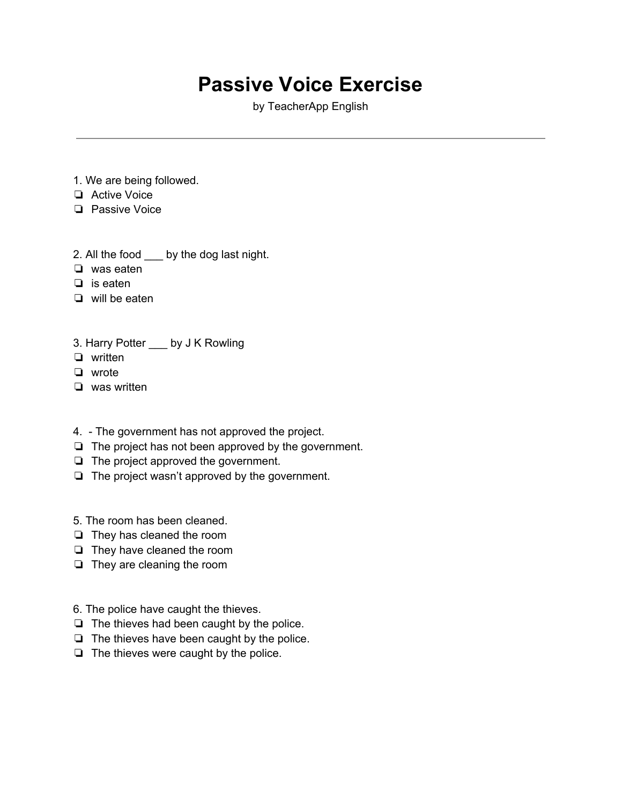## **Passive Voice Exercise**

by TeacherApp English

- 1. We are being followed.
- ❏ Active Voice
- ❏ Passive Voice
- 2. All the food \_\_\_ by the dog last night.
- ❏ was eaten
- ❏ is eaten
- ❏ will be eaten
- 3. Harry Potter \_\_\_ by J K Rowling
- ❏ written
- ❏ wrote
- ❏ was written
- 4. The government has not approved the project.
- ❏ The project has not been approved by the government.
- ❏ The project approved the government.
- ❏ The project wasn't approved by the government.
- 5. The room has been cleaned.
- ❏ They has cleaned the room
- ❏ They have cleaned the room
- ❏ They are cleaning the room
- 6. The police have caught the thieves.
- ❏ The thieves had been caught by the police.
- ❏ The thieves have been caught by the police.
- ❏ The thieves were caught by the police.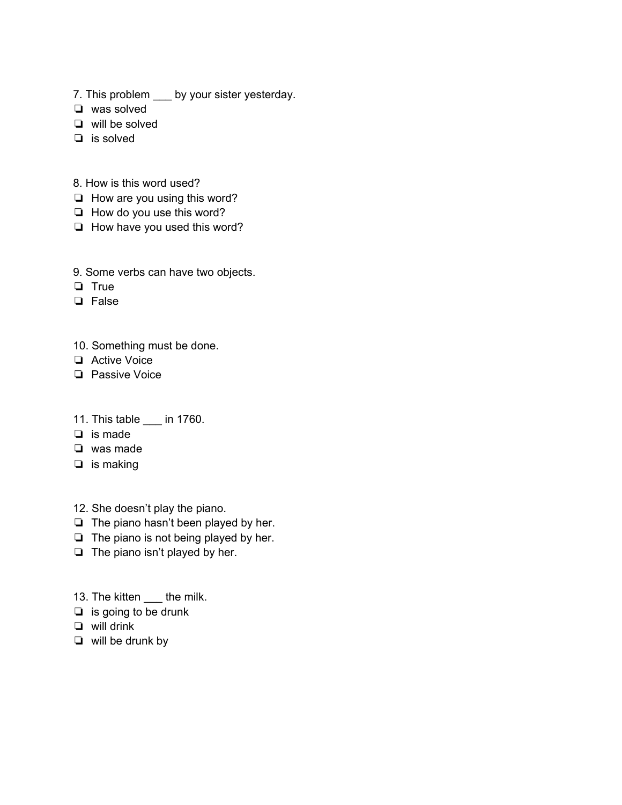- 7. This problem \_\_\_ by your sister yesterday.
- ❏ was solved
- ❏ will be solved
- ❏ is solved
- 8. How is this word used?
- ❏ How are you using this word?
- ❏ How do you use this word?
- ❏ How have you used this word?
- 9. Some verbs can have two objects.
- ❏ True
- ❏ False
- 10. Something must be done.
- ❏ Active Voice
- ❏ Passive Voice
- 11. This table \_\_\_ in 1760.
- ❏ is made
- ❏ was made
- ❏ is making
- 12. She doesn't play the piano.
- ❏ The piano hasn't been played by her.
- ❏ The piano is not being played by her.
- ❏ The piano isn't played by her.
- 13. The kitten \_\_\_ the milk.
- ❏ is going to be drunk
- ❏ will drink
- ❏ will be drunk by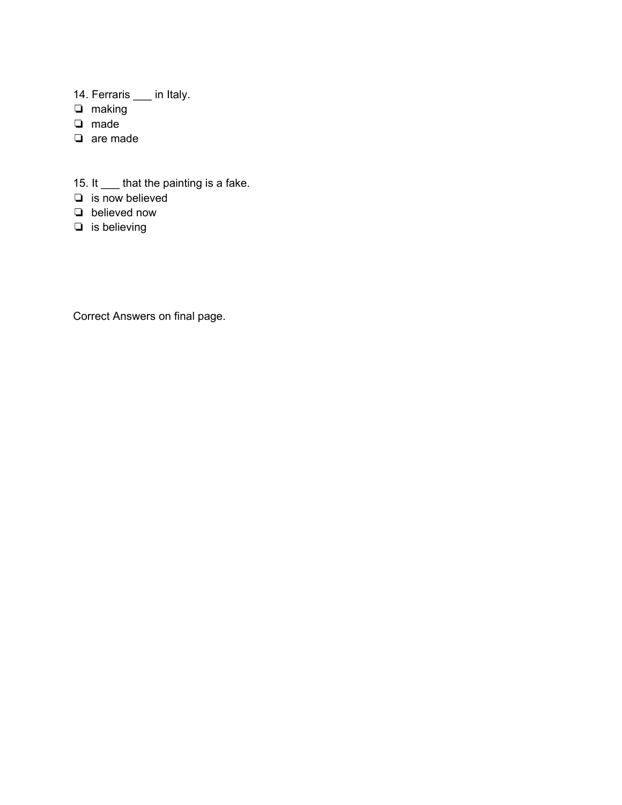- 14. Ferraris \_\_\_ in Italy.
- ❏ making
- ❏ made
- ❏ are made
- 15. It \_\_\_ that the painting is a fake.
- ❏ is now believed
- ❏ believed now
- ❏ is believing

Correct Answers on final page.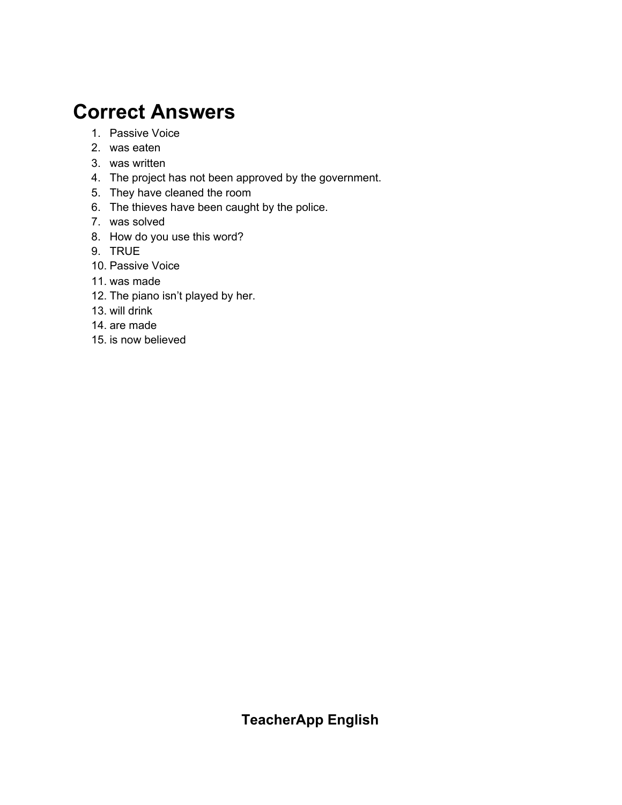## **Correct Answers**

- 1. Passive Voice
- 2. was eaten
- 3. was written
- 4. The project has not been approved by the government.
- 5. They have cleaned the room
- 6. The thieves have been caught by the police.
- 7. was solved
- 8. How do you use this word?
- 9. TRUE
- 10. Passive Voice
- 11. was made
- 12. The piano isn't played by her.
- 13. will drink
- 14. are made
- 15. is now believed